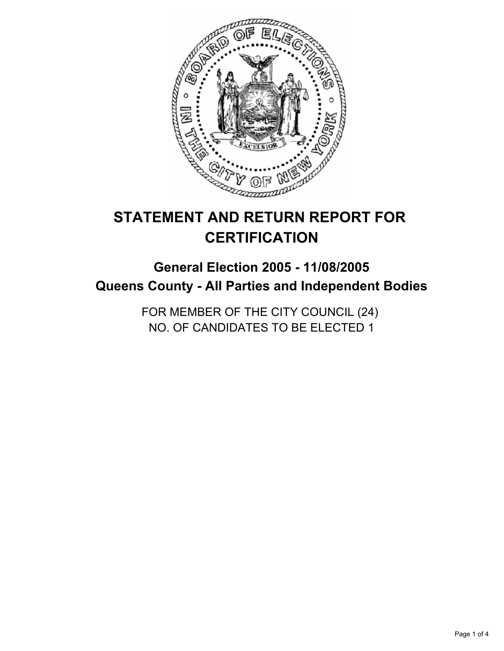

# **STATEMENT AND RETURN REPORT FOR CERTIFICATION**

## **General Election 2005 - 11/08/2005 Queens County - All Parties and Independent Bodies**

FOR MEMBER OF THE CITY COUNCIL (24) NO. OF CANDIDATES TO BE ELECTED 1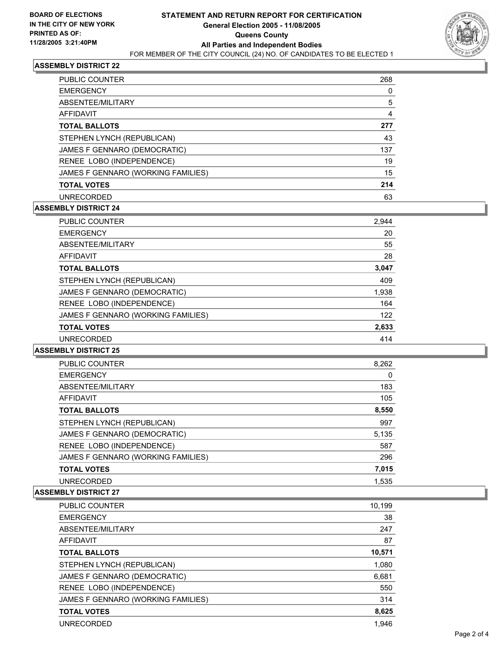

#### **ASSEMBLY DISTRICT 22**

| <b>PUBLIC COUNTER</b>              | 268 |
|------------------------------------|-----|
| <b>EMERGENCY</b>                   |     |
| ABSENTEE/MILITARY                  | 5   |
| AFFIDAVIT                          | 4   |
| <b>TOTAL BALLOTS</b>               | 277 |
| STEPHEN LYNCH (REPUBLICAN)         | 43  |
| JAMES F GENNARO (DEMOCRATIC)       | 137 |
| RENEE LOBO (INDEPENDENCE)          | 19  |
| JAMES F GENNARO (WORKING FAMILIES) | 15  |
| <b>TOTAL VOTES</b>                 | 214 |
| <b>UNRECORDED</b>                  | 63  |

## **ASSEMBLY DISTRICT 24**

| <b>PUBLIC COUNTER</b>              | 2,944 |
|------------------------------------|-------|
| <b>EMERGENCY</b>                   | 20    |
| ABSENTEE/MILITARY                  | 55    |
| AFFIDAVIT                          | 28    |
| <b>TOTAL BALLOTS</b>               | 3,047 |
| STEPHEN LYNCH (REPUBLICAN)         | 409   |
| JAMES F GENNARO (DEMOCRATIC)       | 1,938 |
| RENEE LOBO (INDEPENDENCE)          | 164   |
| JAMES F GENNARO (WORKING FAMILIES) | 122   |
| <b>TOTAL VOTES</b>                 | 2,633 |
| <b>UNRECORDED</b>                  | 414   |

#### **ASSEMBLY DISTRICT 25**

| PUBLIC COUNTER                     | 8,262 |
|------------------------------------|-------|
| <b>EMERGENCY</b>                   | 0     |
| ABSENTEE/MILITARY                  | 183   |
| AFFIDAVIT                          | 105   |
| <b>TOTAL BALLOTS</b>               | 8,550 |
| STEPHEN LYNCH (REPUBLICAN)         | 997   |
| JAMES F GENNARO (DEMOCRATIC)       | 5,135 |
| RENEE LOBO (INDEPENDENCE)          | 587   |
| JAMES F GENNARO (WORKING FAMILIES) | 296   |
| <b>TOTAL VOTES</b>                 | 7,015 |
| <b>UNRECORDED</b>                  | 1,535 |

#### **ASSEMBLY DISTRICT 27**

| PUBLIC COUNTER                     | 10,199 |
|------------------------------------|--------|
| <b>EMERGENCY</b>                   | 38     |
| ABSENTEE/MILITARY                  | 247    |
| AFFIDAVIT                          | 87     |
| <b>TOTAL BALLOTS</b>               | 10,571 |
| STEPHEN LYNCH (REPUBLICAN)         | 1,080  |
| JAMES F GENNARO (DEMOCRATIC)       | 6,681  |
| RENEE LOBO (INDEPENDENCE)          | 550    |
| JAMES F GENNARO (WORKING FAMILIES) | 314    |
| <b>TOTAL VOTES</b>                 | 8,625  |
| <b>UNRECORDED</b>                  | 1.946  |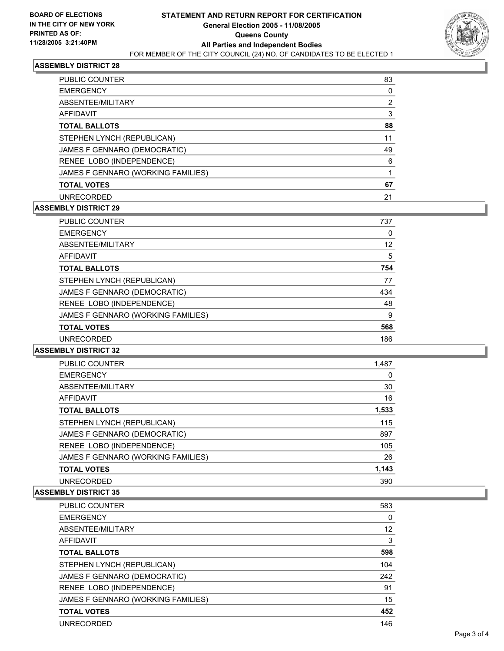

## **ASSEMBLY DISTRICT 28**

| <b>PUBLIC COUNTER</b>              | 83 |
|------------------------------------|----|
| <b>EMERGENCY</b>                   |    |
| ABSENTEE/MILITARY                  | 2  |
| AFFIDAVIT                          |    |
| <b>TOTAL BALLOTS</b>               | 88 |
| STEPHEN LYNCH (REPUBLICAN)         | 11 |
| JAMES F GENNARO (DEMOCRATIC)       | 49 |
| RENEE LOBO (INDEPENDENCE)          | 6  |
| JAMES F GENNARO (WORKING FAMILIES) |    |
| <b>TOTAL VOTES</b>                 | 67 |
| <b>UNRECORDED</b>                  | 21 |
|                                    |    |

## **ASSEMBLY DISTRICT 29**

| <b>PUBLIC COUNTER</b>              | 737 |
|------------------------------------|-----|
| <b>EMERGENCY</b>                   | 0   |
| ABSENTEE/MILITARY                  | 12  |
| <b>AFFIDAVIT</b>                   | 5   |
| <b>TOTAL BALLOTS</b>               | 754 |
| STEPHEN LYNCH (REPUBLICAN)         | 77  |
| JAMES F GENNARO (DEMOCRATIC)       | 434 |
| RENEE LOBO (INDEPENDENCE)          | 48  |
| JAMES F GENNARO (WORKING FAMILIES) | 9   |
| <b>TOTAL VOTES</b>                 | 568 |
| <b>UNRECORDED</b>                  | 186 |

#### **ASSEMBLY DISTRICT 32**

| <b>PUBLIC COUNTER</b>              | 1,487 |  |
|------------------------------------|-------|--|
| <b>EMERGENCY</b>                   |       |  |
| ABSENTEE/MILITARY                  | 30    |  |
| AFFIDAVIT                          | 16    |  |
| <b>TOTAL BALLOTS</b>               | 1,533 |  |
| STEPHEN LYNCH (REPUBLICAN)         | 115   |  |
| JAMES F GENNARO (DEMOCRATIC)       | 897   |  |
| RENEE LOBO (INDEPENDENCE)          | 105   |  |
| JAMES F GENNARO (WORKING FAMILIES) | 26    |  |
| <b>TOTAL VOTES</b>                 | 1,143 |  |
| <b>UNRECORDED</b>                  | 390   |  |

#### **ASSEMBLY DISTRICT 35**

| <b>PUBLIC COUNTER</b>              | 583 |
|------------------------------------|-----|
| <b>EMERGENCY</b>                   | 0   |
| ABSENTEE/MILITARY                  | 12  |
| AFFIDAVIT                          | 3   |
| <b>TOTAL BALLOTS</b>               | 598 |
| STEPHEN LYNCH (REPUBLICAN)         | 104 |
| JAMES F GENNARO (DEMOCRATIC)       | 242 |
| RENEE LOBO (INDEPENDENCE)          | 91  |
| JAMES F GENNARO (WORKING FAMILIES) | 15  |
| <b>TOTAL VOTES</b>                 | 452 |
| UNRECORDED                         | 146 |